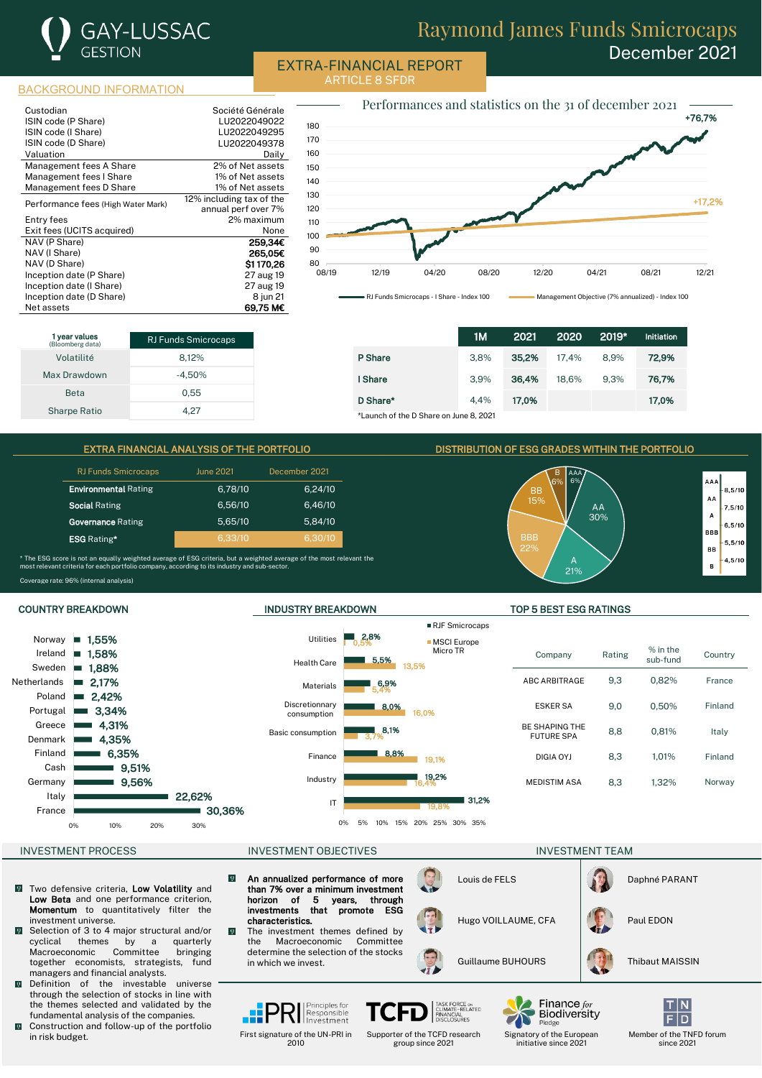

# Raymond James Funds Smicrocaps December 2021

EXTRA-FINANCIAL REPORT ARTICLE 8 SFDR

BACKGROUND INFORMATION

| Custodian                          | Société Générale         |
|------------------------------------|--------------------------|
| ISIN code (P Share)                | LU2022049022             |
| ISIN code (I Share)                | LU2022049295             |
| ISIN code (D Share)                | LU2022049378             |
| Valuation                          | Daily                    |
| Management fees A Share            | 2% of Net assets         |
| Management fees I Share            | 1% of Net assets         |
| Management fees D Share            | 1% of Net assets         |
| Performance fees (High Water Mark) | 12% including tax of the |
|                                    | annual perf over 7%      |
| Entry fees                         | 2% maximum               |
| Exit fees (UCITS acquired)         | None                     |
| NAV (P Share)                      | 259,34€                  |
| NAV (I Share)                      | 265.05€                  |
| NAV (D Share)                      | \$1170.26                |
| Inception date (P Share)           | 27 aug 19                |
| Inception date (I Share)           | 27 aug 19                |
| Inception date (D Share)           | 8 jun 21                 |
| Net assets                         | 69.75 MC                 |



1 year values RJ Funds Smicrocaps Volatilité 8,12% Max Drawdown -4,50% Beta 0.55 Sharpe Ratio 4,27

|                                        | 1M   | 2021  | 2020  | 2019* | <b>Initiation</b> |
|----------------------------------------|------|-------|-------|-------|-------------------|
| <b>P</b> Share                         | 3.8% | 35.2% | 17.4% | 8.9%  | 72.9%             |
| I Share                                | 3.9% | 36,4% | 18.6% | 9.3%  | 76,7%             |
| D Share*                               | 4.4% | 17.0% |       |       | 17,0%             |
| *Launch of the D Share on June 8, 2021 |      |       |       |       |                   |

### EXTRA FINANCIAL ANALYSIS OF THE PORTFOLIO DISTRIBUTION OF ESG GRADES WITHIN THE PORTFOLIO

| <b>RJ Funds Smicrocaps</b>  | <b>June 2021</b> | December 2021 |
|-----------------------------|------------------|---------------|
| <b>Environmental Rating</b> | 6,78/10          | 6,24/10       |
| <b>Social Rating</b>        | 6,56/10          | 6,46/10       |
| <b>Governance Rating</b>    | 5,65/10          | 5.84/10       |
| <b>ESG</b> Rating*          | 6,33/10          | 6.30/10       |

ighted average of ESG criteria, but a weighted average of the most relevant the<br>io company according to its industry and sub-sector \* The ESG score is not an equally weighted<br>most relevant criteria for each portfolio com Coverage rate: 96% (internal analysis)





### COUNTRY BREAKDOWN INDUSTRY BREAKDOWN TOP 5 BEST ESG RATINGS

| Company                                    | Rating | $%$ in the<br>sub-fund | Country |
|--------------------------------------------|--------|------------------------|---------|
| <b>ABC ARBITRAGE</b>                       | 9.3    | 0,82%                  | France  |
| <b>ESKER SA</b>                            | 9.0    | 0.50%                  | Finland |
| <b>BE SHAPING THE</b><br><b>FUTURE SPA</b> | 8,8    | 0.81%                  | Italy   |
| DIGIA OYJ                                  | 8.3    | 1.01%                  | Finland |
| <b>MEDISTIM ASA</b>                        | 8.3    | 1.32%                  | Norway  |
|                                            |        |                        |         |

- Two defensive criteria, Low Volatility and  $\overline{\mathbf{Q}}$ Low Beta and one performance criterion. Momentum to quantitatively filter the investment universe.
- Selection of 3 to 4 major structural and/or<br>cyclical themes by a quarterly themes by a Macroeconomic Committee bringing together economists, strategists, fund managers and financial analysts.
- $\overline{0}$ Definition of the investable universe through the selection of stocks in line with the themes selected and validated by the fundamental analysis of the companies.
- $\overline{\mathbf{Q}}$ Construction and follow-up of the portfolio in risk budget.

### INVESTMENT PROCESS INVESTMENT OBJECTIVES INVESTMENT ON INVESTMENT TEAM

- $\boldsymbol{\varrho}$ An annualized performance of more than 7% over a minimum investment<br>horizon of 5 vears, through horizon of 5 years,<br>investments that prom that promote ESG characteristics.
	- The investment themes defined by<br>the Macroeconomic Committee Macroeconomic determine the selection of the stocks in which we invest.

First signature of the UN-PRI in 2010

 $\overline{0}$ 





Supporter of the TCFD research group since 2021

RJF Smicrocaps





Louis de FELS **Daphné PARANT** 

Guillaume BUHOURS | Thibaut MAISSIN

Hugo VOILLAUME, CFA **Paul EDON** 



Member of the TNFD forum since 2021